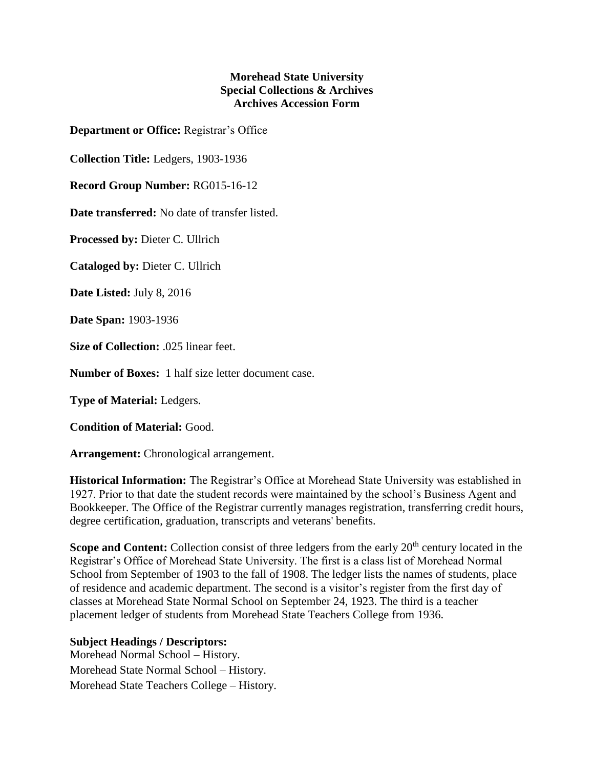## **Morehead State University Special Collections & Archives Archives Accession Form**

**Department or Office:** Registrar's Office

**Collection Title:** Ledgers, 1903-1936

**Record Group Number:** RG015-16-12

**Date transferred:** No date of transfer listed.

**Processed by:** Dieter C. Ullrich

**Cataloged by:** Dieter C. Ullrich

**Date Listed:** July 8, 2016

**Date Span:** 1903-1936

**Size of Collection:** .025 linear feet.

**Number of Boxes:** 1 half size letter document case.

**Type of Material:** Ledgers.

**Condition of Material:** Good.

**Arrangement:** Chronological arrangement.

**Historical Information:** The Registrar's Office at Morehead State University was established in 1927. Prior to that date the student records were maintained by the school's Business Agent and Bookkeeper. The Office of the Registrar currently manages registration, transferring credit hours, degree certification, graduation, transcripts and veterans' benefits.

**Scope and Content:** Collection consist of three ledgers from the early 20<sup>th</sup> century located in the Registrar's Office of Morehead State University. The first is a class list of Morehead Normal School from September of 1903 to the fall of 1908. The ledger lists the names of students, place of residence and academic department. The second is a visitor's register from the first day of classes at Morehead State Normal School on September 24, 1923. The third is a teacher placement ledger of students from Morehead State Teachers College from 1936.

## **Subject Headings / Descriptors:**

Morehead Normal School – History. Morehead State Normal School – History. Morehead State Teachers College – History.